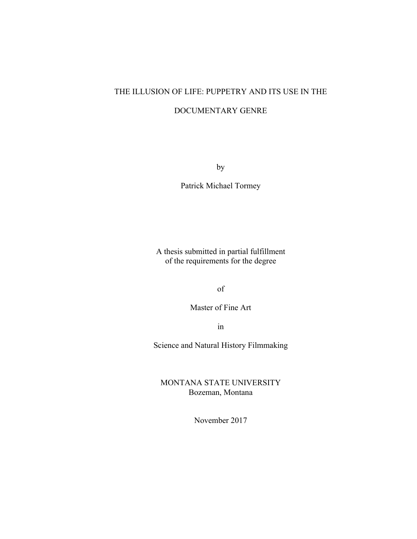# THE ILLUSION OF LIFE: PUPPETRY AND ITS USE IN THE

### DOCUMENTARY GENRE

by

Patrick Michael Tormey

A thesis submitted in partial fulfillment of the requirements for the degree

of

Master of Fine Art

in

Science and Natural History Filmmaking

MONTANA STATE UNIVERSITY Bozeman, Montana

November 2017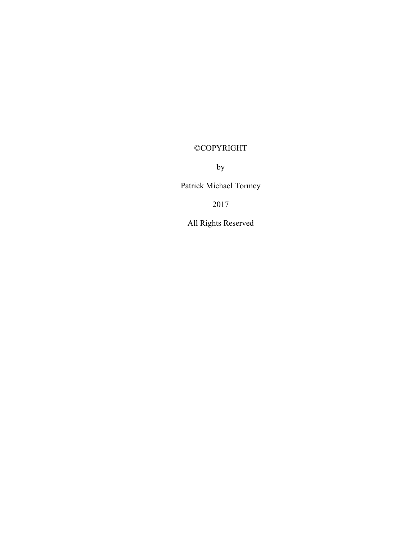## ©COPYRIGHT

by

Patrick Michael Tormey

2017

All Rights Reserved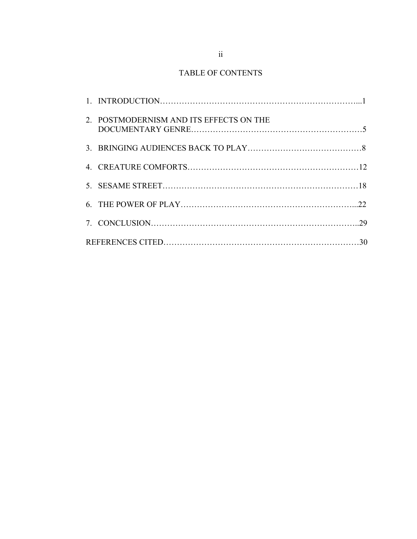### TABLE OF CONTENTS

| 2. POSTMODERNISM AND ITS EFFECTS ON THE |  |
|-----------------------------------------|--|
|                                         |  |
|                                         |  |
|                                         |  |
|                                         |  |
|                                         |  |
|                                         |  |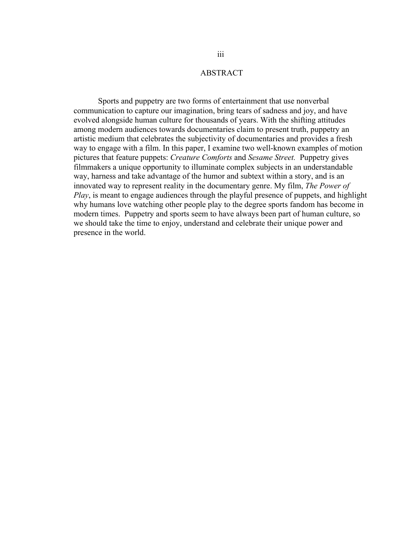#### ABSTRACT

Sports and puppetry are two forms of entertainment that use nonverbal communication to capture our imagination, bring tears of sadness and joy, and have evolved alongside human culture for thousands of years. With the shifting attitudes among modern audiences towards documentaries claim to present truth, puppetry an artistic medium that celebrates the subjectivity of documentaries and provides a fresh way to engage with a film. In this paper, I examine two well-known examples of motion pictures that feature puppets: *Creature Comforts* and *Sesame Street.* Puppetry gives filmmakers a unique opportunity to illuminate complex subjects in an understandable way, harness and take advantage of the humor and subtext within a story, and is an innovated way to represent reality in the documentary genre. My film, *The Power of Play*, is meant to engage audiences through the playful presence of puppets, and highlight why humans love watching other people play to the degree sports fandom has become in modern times. Puppetry and sports seem to have always been part of human culture, so we should take the time to enjoy, understand and celebrate their unique power and presence in the world.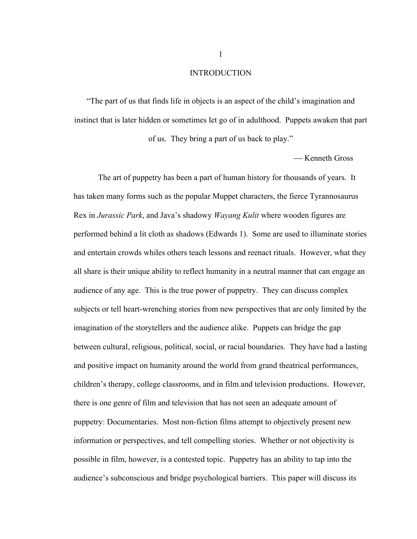#### INTRODUCTION

"The part of us that finds life in objects is an aspect of the child's imagination and instinct that is later hidden or sometimes let go of in adulthood. Puppets awaken that part of us. They bring a part of us back to play."

— Kenneth Gross

The art of puppetry has been a part of human history for thousands of years. It has taken many forms such as the popular Muppet characters, the fierce Tyrannosaurus Rex in *Jurassic Park*, and Java's shadowy *Wayang Kulit* where wooden figures are performed behind a lit cloth as shadows (Edwards 1). Some are used to illuminate stories and entertain crowds whiles others teach lessons and reenact rituals. However, what they all share is their unique ability to reflect humanity in a neutral manner that can engage an audience of any age. This is the true power of puppetry. They can discuss complex subjects or tell heart-wrenching stories from new perspectives that are only limited by the imagination of the storytellers and the audience alike. Puppets can bridge the gap between cultural, religious, political, social, or racial boundaries. They have had a lasting and positive impact on humanity around the world from grand theatrical performances, children's therapy, college classrooms, and in film and television productions. However, there is one genre of film and television that has not seen an adequate amount of puppetry: Documentaries. Most non-fiction films attempt to objectively present new information or perspectives, and tell compelling stories. Whether or not objectivity is possible in film, however, is a contested topic. Puppetry has an ability to tap into the audience's subconscious and bridge psychological barriers. This paper will discuss its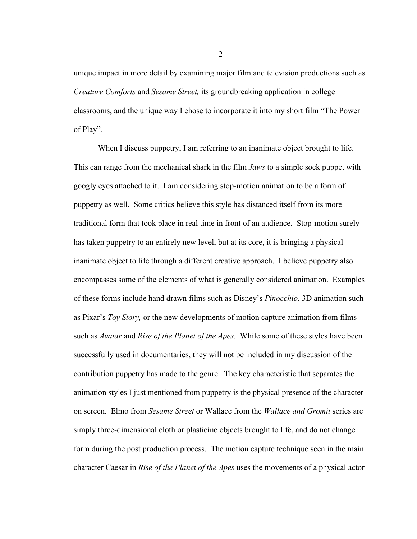unique impact in more detail by examining major film and television productions such as *Creature Comforts* and *Sesame Street,* its groundbreaking application in college classrooms, and the unique way I chose to incorporate it into my short film "The Power of Play"*.*

When I discuss puppetry, I am referring to an inanimate object brought to life. This can range from the mechanical shark in the film *Jaws* to a simple sock puppet with googly eyes attached to it. I am considering stop-motion animation to be a form of puppetry as well. Some critics believe this style has distanced itself from its more traditional form that took place in real time in front of an audience. Stop-motion surely has taken puppetry to an entirely new level, but at its core, it is bringing a physical inanimate object to life through a different creative approach. I believe puppetry also encompasses some of the elements of what is generally considered animation. Examples of these forms include hand drawn films such as Disney's *Pinocchio,* 3D animation such as Pixar's *Toy Story,* or the new developments of motion capture animation from films such as *Avatar* and *Rise of the Planet of the Apes.* While some of these styles have been successfully used in documentaries, they will not be included in my discussion of the contribution puppetry has made to the genre. The key characteristic that separates the animation styles I just mentioned from puppetry is the physical presence of the character on screen. Elmo from *Sesame Street* or Wallace from the *Wallace and Gromit* series are simply three-dimensional cloth or plasticine objects brought to life, and do not change form during the post production process. The motion capture technique seen in the main character Caesar in *Rise of the Planet of the Apes* uses the movements of a physical actor

 $\mathfrak{D}$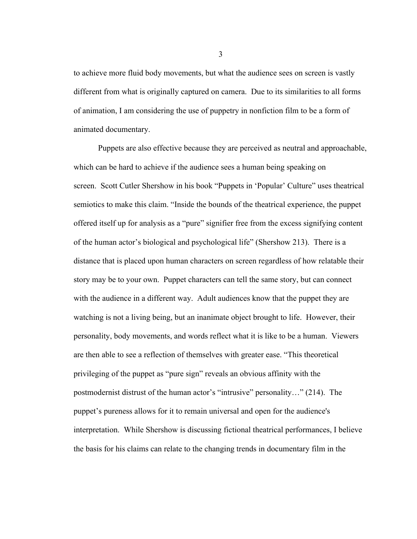to achieve more fluid body movements, but what the audience sees on screen is vastly different from what is originally captured on camera. Due to its similarities to all forms of animation, I am considering the use of puppetry in nonfiction film to be a form of animated documentary.

Puppets are also effective because they are perceived as neutral and approachable, which can be hard to achieve if the audience sees a human being speaking on screen. Scott Cutler Shershow in his book "Puppets in 'Popular' Culture" uses theatrical semiotics to make this claim. "Inside the bounds of the theatrical experience, the puppet offered itself up for analysis as a "pure" signifier free from the excess signifying content of the human actor's biological and psychological life" (Shershow 213). There is a distance that is placed upon human characters on screen regardless of how relatable their story may be to your own. Puppet characters can tell the same story, but can connect with the audience in a different way. Adult audiences know that the puppet they are watching is not a living being, but an inanimate object brought to life. However, their personality, body movements, and words reflect what it is like to be a human. Viewers are then able to see a reflection of themselves with greater ease. "This theoretical privileging of the puppet as "pure sign" reveals an obvious affinity with the postmodernist distrust of the human actor's "intrusive" personality…" (214). The puppet's pureness allows for it to remain universal and open for the audience's interpretation. While Shershow is discussing fictional theatrical performances, I believe the basis for his claims can relate to the changing trends in documentary film in the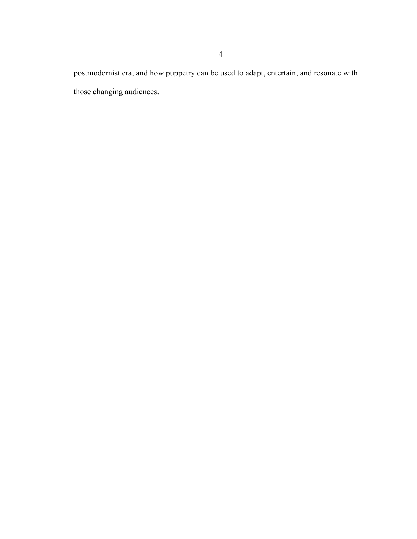postmodernist era, and how puppetry can be used to adapt, entertain, and resonate with those changing audiences.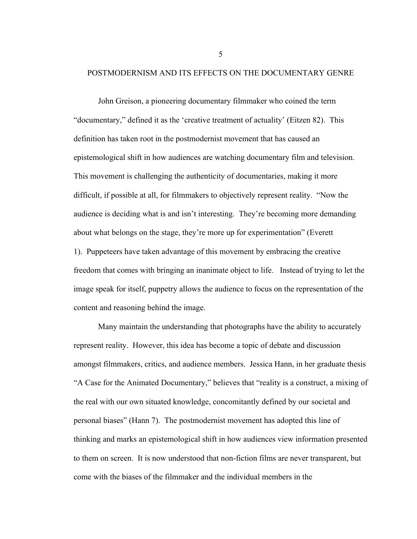#### POSTMODERNISM AND ITS EFFECTS ON THE DOCUMENTARY GENRE

John Greison, a pioneering documentary filmmaker who coined the term "documentary," defined it as the 'creative treatment of actuality' (Eitzen 82). This definition has taken root in the postmodernist movement that has caused an epistemological shift in how audiences are watching documentary film and television. This movement is challenging the authenticity of documentaries, making it more difficult, if possible at all, for filmmakers to objectively represent reality. "Now the audience is deciding what is and isn't interesting. They're becoming more demanding about what belongs on the stage, they're more up for experimentation" (Everett 1). Puppeteers have taken advantage of this movement by embracing the creative freedom that comes with bringing an inanimate object to life. Instead of trying to let the image speak for itself, puppetry allows the audience to focus on the representation of the content and reasoning behind the image.

Many maintain the understanding that photographs have the ability to accurately represent reality. However, this idea has become a topic of debate and discussion amongst filmmakers, critics, and audience members. Jessica Hann, in her graduate thesis "A Case for the Animated Documentary," believes that "reality is a construct, a mixing of the real with our own situated knowledge, concomitantly defined by our societal and personal biases" (Hann 7). The postmodernist movement has adopted this line of thinking and marks an epistemological shift in how audiences view information presented to them on screen. It is now understood that non-fiction films are never transparent, but come with the biases of the filmmaker and the individual members in the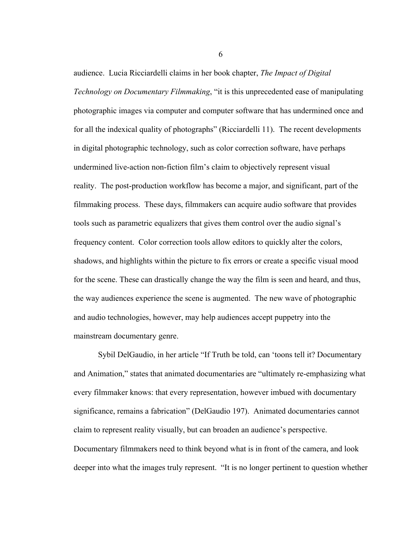audience. Lucia Ricciardelli claims in her book chapter, *The Impact of Digital Technology on Documentary Filmmaking*, "it is this unprecedented ease of manipulating photographic images via computer and computer software that has undermined once and for all the indexical quality of photographs" (Ricciardelli 11). The recent developments in digital photographic technology, such as color correction software, have perhaps undermined live-action non-fiction film's claim to objectively represent visual reality. The post-production workflow has become a major, and significant, part of the filmmaking process. These days, filmmakers can acquire audio software that provides tools such as parametric equalizers that gives them control over the audio signal's frequency content. Color correction tools allow editors to quickly alter the colors, shadows, and highlights within the picture to fix errors or create a specific visual mood for the scene. These can drastically change the way the film is seen and heard, and thus, the way audiences experience the scene is augmented. The new wave of photographic and audio technologies, however, may help audiences accept puppetry into the mainstream documentary genre.

 Sybil DelGaudio, in her article "If Truth be told, can 'toons tell it? Documentary and Animation," states that animated documentaries are "ultimately re-emphasizing what every filmmaker knows: that every representation, however imbued with documentary significance, remains a fabrication" (DelGaudio 197). Animated documentaries cannot claim to represent reality visually, but can broaden an audience's perspective. Documentary filmmakers need to think beyond what is in front of the camera, and look deeper into what the images truly represent. "It is no longer pertinent to question whether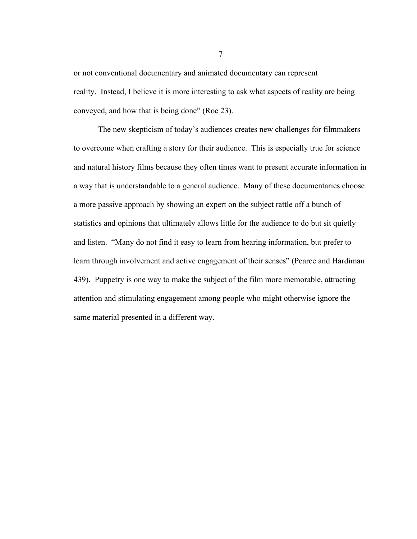or not conventional documentary and animated documentary can represent reality. Instead, I believe it is more interesting to ask what aspects of reality are being conveyed, and how that is being done" (Roe 23).

The new skepticism of today's audiences creates new challenges for filmmakers to overcome when crafting a story for their audience. This is especially true for science and natural history films because they often times want to present accurate information in a way that is understandable to a general audience. Many of these documentaries choose a more passive approach by showing an expert on the subject rattle off a bunch of statistics and opinions that ultimately allows little for the audience to do but sit quietly and listen. "Many do not find it easy to learn from hearing information, but prefer to learn through involvement and active engagement of their senses" (Pearce and Hardiman 439). Puppetry is one way to make the subject of the film more memorable, attracting attention and stimulating engagement among people who might otherwise ignore the same material presented in a different way.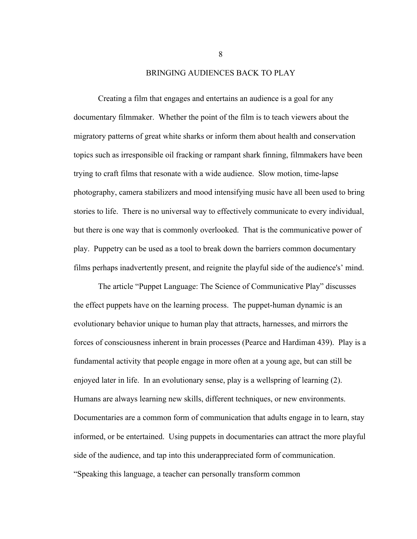BRINGING AUDIENCES BACK TO PLAY

Creating a film that engages and entertains an audience is a goal for any documentary filmmaker. Whether the point of the film is to teach viewers about the migratory patterns of great white sharks or inform them about health and conservation topics such as irresponsible oil fracking or rampant shark finning, filmmakers have been trying to craft films that resonate with a wide audience. Slow motion, time-lapse photography, camera stabilizers and mood intensifying music have all been used to bring stories to life. There is no universal way to effectively communicate to every individual, but there is one way that is commonly overlooked. That is the communicative power of play. Puppetry can be used as a tool to break down the barriers common documentary films perhaps inadvertently present, and reignite the playful side of the audience's' mind.

The article "Puppet Language: The Science of Communicative Play" discusses the effect puppets have on the learning process. The puppet-human dynamic is an evolutionary behavior unique to human play that attracts, harnesses, and mirrors the forces of consciousness inherent in brain processes (Pearce and Hardiman 439). Play is a fundamental activity that people engage in more often at a young age, but can still be enjoyed later in life. In an evolutionary sense, play is a wellspring of learning (2). Humans are always learning new skills, different techniques, or new environments. Documentaries are a common form of communication that adults engage in to learn, stay informed, or be entertained. Using puppets in documentaries can attract the more playful side of the audience, and tap into this underappreciated form of communication. "Speaking this language, a teacher can personally transform common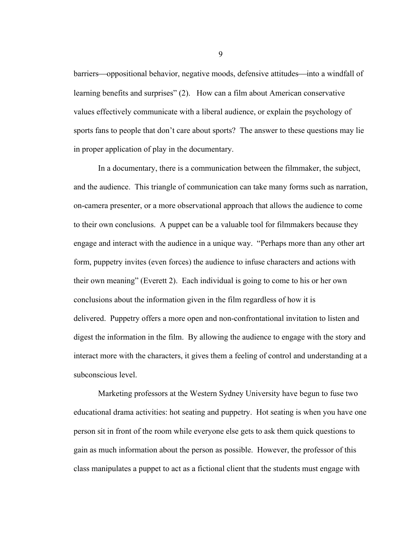barriers—oppositional behavior, negative moods, defensive attitudes—into a windfall of learning benefits and surprises" (2). How can a film about American conservative values effectively communicate with a liberal audience, or explain the psychology of sports fans to people that don't care about sports? The answer to these questions may lie in proper application of play in the documentary.

In a documentary, there is a communication between the filmmaker, the subject, and the audience. This triangle of communication can take many forms such as narration, on-camera presenter, or a more observational approach that allows the audience to come to their own conclusions. A puppet can be a valuable tool for filmmakers because they engage and interact with the audience in a unique way. "Perhaps more than any other art form, puppetry invites (even forces) the audience to infuse characters and actions with their own meaning" (Everett 2). Each individual is going to come to his or her own conclusions about the information given in the film regardless of how it is delivered. Puppetry offers a more open and non-confrontational invitation to listen and digest the information in the film. By allowing the audience to engage with the story and interact more with the characters, it gives them a feeling of control and understanding at a subconscious level.

Marketing professors at the Western Sydney University have begun to fuse two educational drama activities: hot seating and puppetry. Hot seating is when you have one person sit in front of the room while everyone else gets to ask them quick questions to gain as much information about the person as possible. However, the professor of this class manipulates a puppet to act as a fictional client that the students must engage with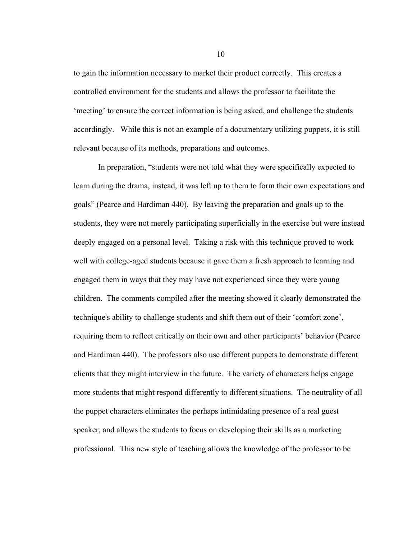to gain the information necessary to market their product correctly. This creates a controlled environment for the students and allows the professor to facilitate the 'meeting' to ensure the correct information is being asked, and challenge the students accordingly. While this is not an example of a documentary utilizing puppets, it is still relevant because of its methods, preparations and outcomes.

In preparation, "students were not told what they were specifically expected to learn during the drama, instead, it was left up to them to form their own expectations and goals" (Pearce and Hardiman 440). By leaving the preparation and goals up to the students, they were not merely participating superficially in the exercise but were instead deeply engaged on a personal level. Taking a risk with this technique proved to work well with college-aged students because it gave them a fresh approach to learning and engaged them in ways that they may have not experienced since they were young children. The comments compiled after the meeting showed it clearly demonstrated the technique's ability to challenge students and shift them out of their 'comfort zone', requiring them to reflect critically on their own and other participants' behavior (Pearce and Hardiman 440). The professors also use different puppets to demonstrate different clients that they might interview in the future. The variety of characters helps engage more students that might respond differently to different situations. The neutrality of all the puppet characters eliminates the perhaps intimidating presence of a real guest speaker, and allows the students to focus on developing their skills as a marketing professional. This new style of teaching allows the knowledge of the professor to be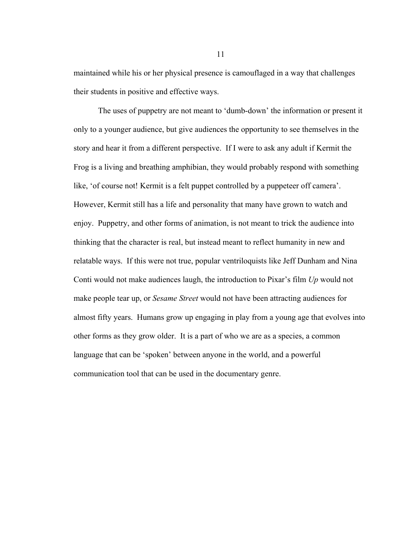maintained while his or her physical presence is camouflaged in a way that challenges their students in positive and effective ways.

The uses of puppetry are not meant to 'dumb-down' the information or present it only to a younger audience, but give audiences the opportunity to see themselves in the story and hear it from a different perspective. If I were to ask any adult if Kermit the Frog is a living and breathing amphibian, they would probably respond with something like, 'of course not! Kermit is a felt puppet controlled by a puppeteer off camera'. However, Kermit still has a life and personality that many have grown to watch and enjoy. Puppetry, and other forms of animation, is not meant to trick the audience into thinking that the character is real, but instead meant to reflect humanity in new and relatable ways. If this were not true, popular ventriloquists like Jeff Dunham and Nina Conti would not make audiences laugh, the introduction to Pixar's film *Up* would not make people tear up, or *Sesame Street* would not have been attracting audiences for almost fifty years. Humans grow up engaging in play from a young age that evolves into other forms as they grow older. It is a part of who we are as a species, a common language that can be 'spoken' between anyone in the world, and a powerful communication tool that can be used in the documentary genre.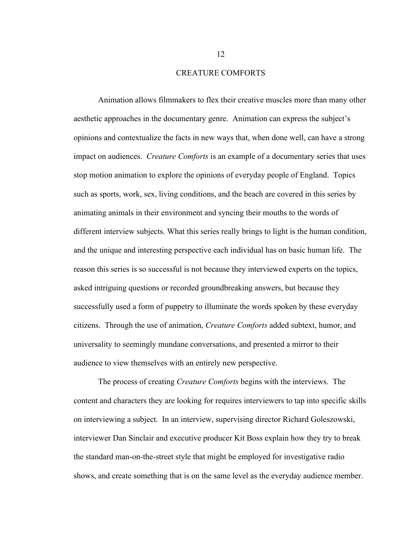#### CREATURE COMFORTS

Animation allows filmmakers to flex their creative muscles more than many other aesthetic approaches in the documentary genre. Animation can express the subject's opinions and contextualize the facts in new ways that, when done well, can have a strong impact on audiences. *Creature Comforts* is an example of a documentary series that uses stop motion animation to explore the opinions of everyday people of England. Topics such as sports, work, sex, living conditions, and the beach are covered in this series by animating animals in their environment and syncing their mouths to the words of different interview subjects. What this series really brings to light is the human condition, and the unique and interesting perspective each individual has on basic human life. The reason this series is so successful is not because they interviewed experts on the topics, asked intriguing questions or recorded groundbreaking answers, but because they successfully used a form of puppetry to illuminate the words spoken by these everyday citizens. Through the use of animation, *Creature Comforts* added subtext, humor, and universality to seemingly mundane conversations, and presented a mirror to their audience to view themselves with an entirely new perspective.

The process of creating *Creature Comforts* begins with the interviews. The content and characters they are looking for requires interviewers to tap into specific skills on interviewing a subject. In an interview, supervising director Richard Goleszowski, interviewer Dan Sinclair and executive producer Kit Boss explain how they try to break the standard man-on-the-street style that might be employed for investigative radio shows, and create something that is on the same level as the everyday audience member.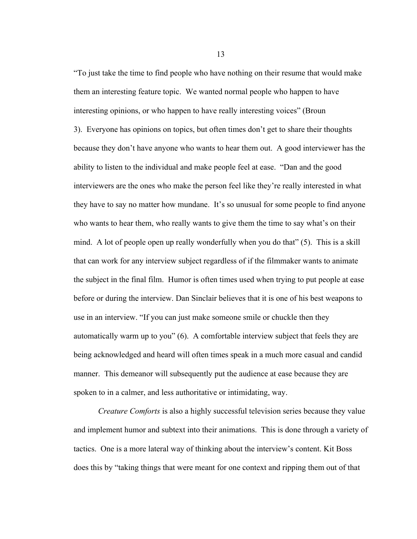"To just take the time to find people who have nothing on their resume that would make them an interesting feature topic. We wanted normal people who happen to have interesting opinions, or who happen to have really interesting voices" (Broun 3). Everyone has opinions on topics, but often times don't get to share their thoughts because they don't have anyone who wants to hear them out. A good interviewer has the ability to listen to the individual and make people feel at ease. "Dan and the good interviewers are the ones who make the person feel like they're really interested in what they have to say no matter how mundane. It's so unusual for some people to find anyone who wants to hear them, who really wants to give them the time to say what's on their mind. A lot of people open up really wonderfully when you do that" (5). This is a skill that can work for any interview subject regardless of if the filmmaker wants to animate the subject in the final film. Humor is often times used when trying to put people at ease before or during the interview. Dan Sinclair believes that it is one of his best weapons to use in an interview. "If you can just make someone smile or chuckle then they automatically warm up to you" (6). A comfortable interview subject that feels they are being acknowledged and heard will often times speak in a much more casual and candid manner. This demeanor will subsequently put the audience at ease because they are spoken to in a calmer, and less authoritative or intimidating, way.

*Creature Comforts* is also a highly successful television series because they value and implement humor and subtext into their animations. This is done through a variety of tactics. One is a more lateral way of thinking about the interview's content. Kit Boss does this by "taking things that were meant for one context and ripping them out of that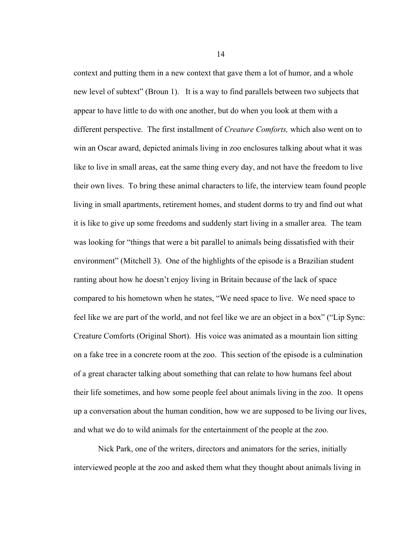context and putting them in a new context that gave them a lot of humor, and a whole new level of subtext" (Broun 1). It is a way to find parallels between two subjects that appear to have little to do with one another, but do when you look at them with a different perspective. The first installment of *Creature Comforts,* which also went on to win an Oscar award, depicted animals living in zoo enclosures talking about what it was like to live in small areas, eat the same thing every day, and not have the freedom to live their own lives. To bring these animal characters to life, the interview team found people living in small apartments, retirement homes, and student dorms to try and find out what it is like to give up some freedoms and suddenly start living in a smaller area. The team was looking for "things that were a bit parallel to animals being dissatisfied with their environment" (Mitchell 3). One of the highlights of the episode is a Brazilian student ranting about how he doesn't enjoy living in Britain because of the lack of space compared to his hometown when he states, "We need space to live. We need space to feel like we are part of the world, and not feel like we are an object in a box" ("Lip Sync: Creature Comforts (Original Short). His voice was animated as a mountain lion sitting on a fake tree in a concrete room at the zoo. This section of the episode is a culmination of a great character talking about something that can relate to how humans feel about their life sometimes, and how some people feel about animals living in the zoo. It opens up a conversation about the human condition, how we are supposed to be living our lives, and what we do to wild animals for the entertainment of the people at the zoo.

Nick Park, one of the writers, directors and animators for the series, initially interviewed people at the zoo and asked them what they thought about animals living in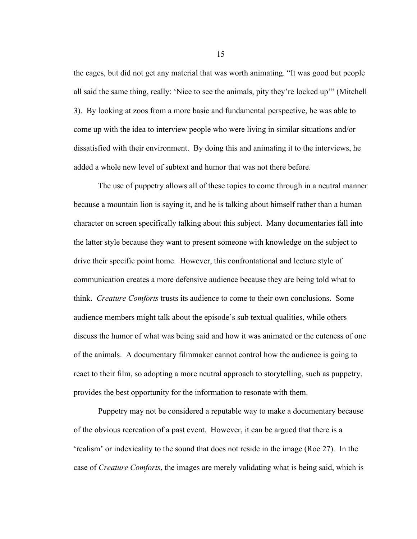the cages, but did not get any material that was worth animating. "It was good but people all said the same thing, really: 'Nice to see the animals, pity they're locked up'" (Mitchell 3). By looking at zoos from a more basic and fundamental perspective, he was able to come up with the idea to interview people who were living in similar situations and/or dissatisfied with their environment. By doing this and animating it to the interviews, he added a whole new level of subtext and humor that was not there before.

The use of puppetry allows all of these topics to come through in a neutral manner because a mountain lion is saying it, and he is talking about himself rather than a human character on screen specifically talking about this subject. Many documentaries fall into the latter style because they want to present someone with knowledge on the subject to drive their specific point home. However, this confrontational and lecture style of communication creates a more defensive audience because they are being told what to think. *Creature Comforts* trusts its audience to come to their own conclusions. Some audience members might talk about the episode's sub textual qualities, while others discuss the humor of what was being said and how it was animated or the cuteness of one of the animals. A documentary filmmaker cannot control how the audience is going to react to their film, so adopting a more neutral approach to storytelling, such as puppetry, provides the best opportunity for the information to resonate with them.

Puppetry may not be considered a reputable way to make a documentary because of the obvious recreation of a past event. However, it can be argued that there is a 'realism' or indexicality to the sound that does not reside in the image (Roe 27). In the case of *Creature Comforts*, the images are merely validating what is being said, which is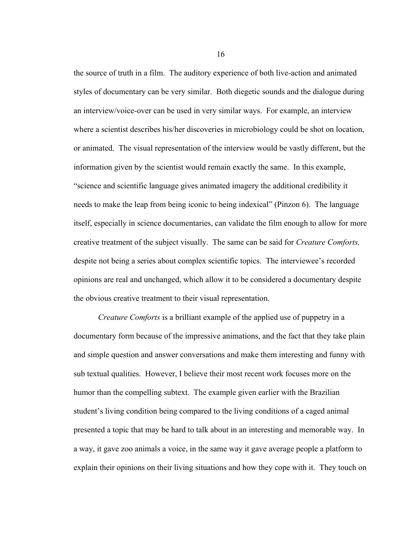the source of truth in a film. The auditory experience of both live-action and animated styles of documentary can be very similar. Both diegetic sounds and the dialogue during an interview/voice-over can be used in very similar ways. For example, an interview where a scientist describes his/her discoveries in microbiology could be shot on location, or animated. The visual representation of the interview would be vastly different, but the information given by the scientist would remain exactly the same. In this example, "science and scientific language gives animated imagery the additional credibility it needs to make the leap from being iconic to being indexical" (Pinzon 6). The language itself, especially in science documentaries, can validate the film enough to allow for more creative treatment of the subject visually. The same can be said for *Creature Comforts,*  despite not being a series about complex scientific topics. The interviewee's recorded opinions are real and unchanged, which allow it to be considered a documentary despite the obvious creative treatment to their visual representation.

*Creature Comforts* is a brilliant example of the applied use of puppetry in a documentary form because of the impressive animations, and the fact that they take plain and simple question and answer conversations and make them interesting and funny with sub textual qualities. However, I believe their most recent work focuses more on the humor than the compelling subtext. The example given earlier with the Brazilian student's living condition being compared to the living conditions of a caged animal presented a topic that may be hard to talk about in an interesting and memorable way. In a way, it gave zoo animals a voice, in the same way it gave average people a platform to explain their opinions on their living situations and how they cope with it. They touch on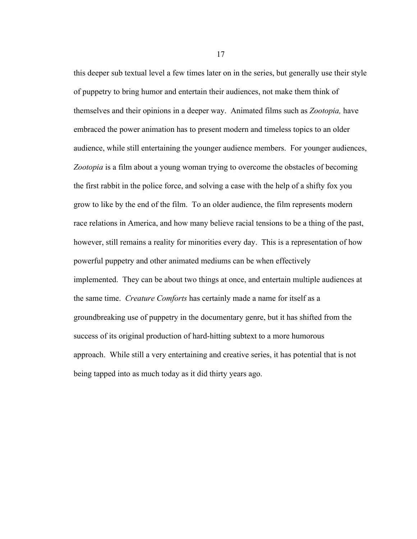this deeper sub textual level a few times later on in the series, but generally use their style of puppetry to bring humor and entertain their audiences, not make them think of themselves and their opinions in a deeper way. Animated films such as *Zootopia,* have embraced the power animation has to present modern and timeless topics to an older audience, while still entertaining the younger audience members. For younger audiences, *Zootopia* is a film about a young woman trying to overcome the obstacles of becoming the first rabbit in the police force, and solving a case with the help of a shifty fox you grow to like by the end of the film. To an older audience, the film represents modern race relations in America, and how many believe racial tensions to be a thing of the past, however, still remains a reality for minorities every day. This is a representation of how powerful puppetry and other animated mediums can be when effectively implemented. They can be about two things at once, and entertain multiple audiences at the same time. *Creature Comforts* has certainly made a name for itself as a groundbreaking use of puppetry in the documentary genre, but it has shifted from the success of its original production of hard-hitting subtext to a more humorous approach. While still a very entertaining and creative series, it has potential that is not being tapped into as much today as it did thirty years ago.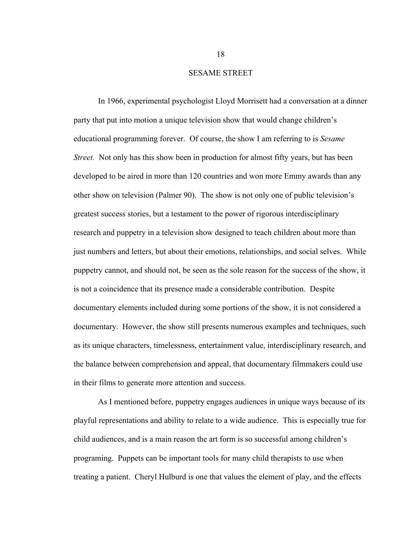#### SESAME STREET

In 1966, experimental psychologist Lloyd Morrisett had a conversation at a dinner party that put into motion a unique television show that would change children's educational programming forever. Of course, the show I am referring to is *Sesame Street.* Not only has this show been in production for almost fifty years, but has been developed to be aired in more than 120 countries and won more Emmy awards than any other show on television (Palmer 90). The show is not only one of public television's greatest success stories, but a testament to the power of rigorous interdisciplinary research and puppetry in a television show designed to teach children about more than just numbers and letters, but about their emotions, relationships, and social selves. While puppetry cannot, and should not, be seen as the sole reason for the success of the show, it is not a coincidence that its presence made a considerable contribution. Despite documentary elements included during some portions of the show, it is not considered a documentary. However, the show still presents numerous examples and techniques, such as its unique characters, timelessness, entertainment value, interdisciplinary research, and the balance between comprehension and appeal, that documentary filmmakers could use in their films to generate more attention and success.

As I mentioned before, puppetry engages audiences in unique ways because of its playful representations and ability to relate to a wide audience. This is especially true for child audiences, and is a main reason the art form is so successful among children's programing. Puppets can be important tools for many child therapists to use when treating a patient. Cheryl Hulburd is one that values the element of play, and the effects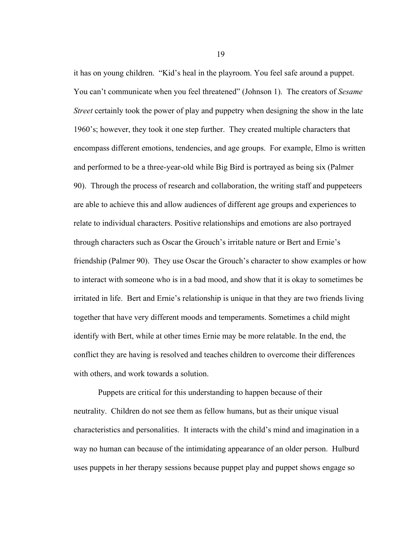it has on young children. "Kid's heal in the playroom. You feel safe around a puppet. You can't communicate when you feel threatened" (Johnson 1). The creators of *Sesame Street* certainly took the power of play and puppetry when designing the show in the late 1960's; however, they took it one step further. They created multiple characters that encompass different emotions, tendencies, and age groups. For example, Elmo is written and performed to be a three-year-old while Big Bird is portrayed as being six (Palmer 90). Through the process of research and collaboration, the writing staff and puppeteers are able to achieve this and allow audiences of different age groups and experiences to relate to individual characters. Positive relationships and emotions are also portrayed through characters such as Oscar the Grouch's irritable nature or Bert and Ernie's friendship (Palmer 90). They use Oscar the Grouch's character to show examples or how to interact with someone who is in a bad mood, and show that it is okay to sometimes be irritated in life. Bert and Ernie's relationship is unique in that they are two friends living together that have very different moods and temperaments. Sometimes a child might identify with Bert, while at other times Ernie may be more relatable. In the end, the conflict they are having is resolved and teaches children to overcome their differences with others, and work towards a solution.

Puppets are critical for this understanding to happen because of their neutrality. Children do not see them as fellow humans, but as their unique visual characteristics and personalities. It interacts with the child's mind and imagination in a way no human can because of the intimidating appearance of an older person. Hulburd uses puppets in her therapy sessions because puppet play and puppet shows engage so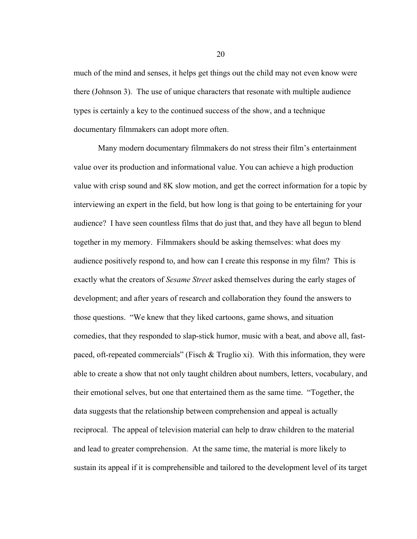much of the mind and senses, it helps get things out the child may not even know were there (Johnson 3). The use of unique characters that resonate with multiple audience types is certainly a key to the continued success of the show, and a technique documentary filmmakers can adopt more often.

Many modern documentary filmmakers do not stress their film's entertainment value over its production and informational value. You can achieve a high production value with crisp sound and 8K slow motion, and get the correct information for a topic by interviewing an expert in the field, but how long is that going to be entertaining for your audience? I have seen countless films that do just that, and they have all begun to blend together in my memory. Filmmakers should be asking themselves: what does my audience positively respond to, and how can I create this response in my film? This is exactly what the creators of *Sesame Street* asked themselves during the early stages of development; and after years of research and collaboration they found the answers to those questions. "We knew that they liked cartoons, game shows, and situation comedies, that they responded to slap-stick humor, music with a beat, and above all, fastpaced, oft-repeated commercials" (Fisch  $\&$  Truglio xi). With this information, they were able to create a show that not only taught children about numbers, letters, vocabulary, and their emotional selves, but one that entertained them as the same time. "Together, the data suggests that the relationship between comprehension and appeal is actually reciprocal. The appeal of television material can help to draw children to the material and lead to greater comprehension. At the same time, the material is more likely to sustain its appeal if it is comprehensible and tailored to the development level of its target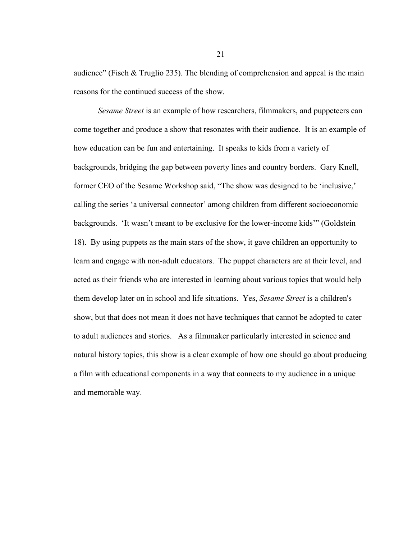audience" (Fisch & Truglio 235). The blending of comprehension and appeal is the main reasons for the continued success of the show.

*Sesame Street* is an example of how researchers, filmmakers, and puppeteers can come together and produce a show that resonates with their audience. It is an example of how education can be fun and entertaining. It speaks to kids from a variety of backgrounds, bridging the gap between poverty lines and country borders. Gary Knell, former CEO of the Sesame Workshop said, "The show was designed to be 'inclusive,' calling the series 'a universal connector' among children from different socioeconomic backgrounds. 'It wasn't meant to be exclusive for the lower-income kids'" (Goldstein 18). By using puppets as the main stars of the show, it gave children an opportunity to learn and engage with non-adult educators. The puppet characters are at their level, and acted as their friends who are interested in learning about various topics that would help them develop later on in school and life situations. Yes, *Sesame Street* is a children's show, but that does not mean it does not have techniques that cannot be adopted to cater to adult audiences and stories. As a filmmaker particularly interested in science and natural history topics, this show is a clear example of how one should go about producing a film with educational components in a way that connects to my audience in a unique and memorable way.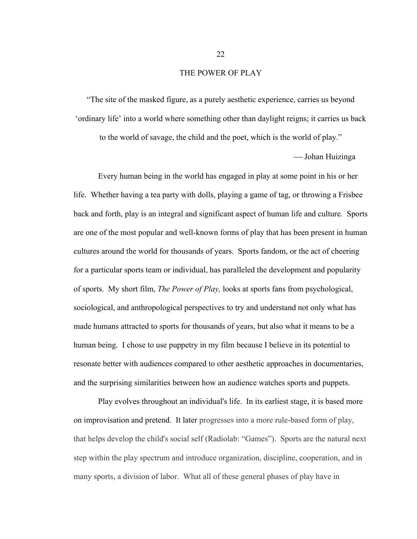#### THE POWER OF PLAY

"The site of the masked figure, as a purely aesthetic experience, carries us beyond 'ordinary life' into a world where something other than daylight reigns; it carries us back

to the world of savage, the child and the poet, which is the world of play."

¾ Johan Huizinga

Every human being in the world has engaged in play at some point in his or her life. Whether having a tea party with dolls, playing a game of tag, or throwing a Frisbee back and forth, play is an integral and significant aspect of human life and culture. Sports are one of the most popular and well-known forms of play that has been present in human cultures around the world for thousands of years. Sports fandom, or the act of cheering for a particular sports team or individual, has paralleled the development and popularity of sports. My short film, *The Power of Play,* looks at sports fans from psychological, sociological, and anthropological perspectives to try and understand not only what has made humans attracted to sports for thousands of years, but also what it means to be a human being. I chose to use puppetry in my film because I believe in its potential to resonate better with audiences compared to other aesthetic approaches in documentaries, and the surprising similarities between how an audience watches sports and puppets.

Play evolves throughout an individual's life. In its earliest stage, it is based more on improvisation and pretend. It later progresses into a more rule-based form of play, that helps develop the child's social self (Radiolab: "Games"). Sports are the natural next step within the play spectrum and introduce organization, discipline, cooperation, and in many sports, a division of labor. What all of these general phases of play have in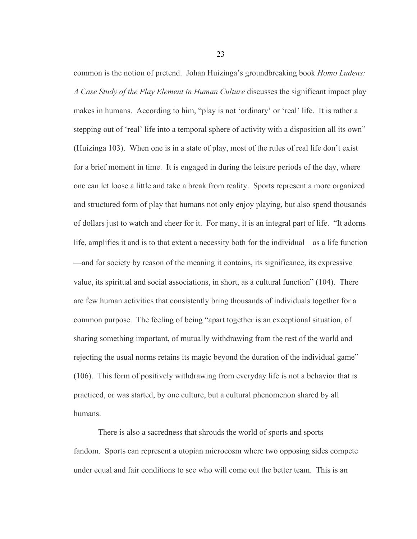common is the notion of pretend. Johan Huizinga's groundbreaking book *Homo Ludens: A Case Study of the Play Element in Human Culture* discusses the significant impact play makes in humans. According to him, "play is not 'ordinary' or 'real' life. It is rather a stepping out of 'real' life into a temporal sphere of activity with a disposition all its own" (Huizinga 103). When one is in a state of play, most of the rules of real life don't exist for a brief moment in time. It is engaged in during the leisure periods of the day, where one can let loose a little and take a break from reality. Sports represent a more organized and structured form of play that humans not only enjoy playing, but also spend thousands of dollars just to watch and cheer for it. For many, it is an integral part of life. "It adorns life, amplifies it and is to that extent a necessity both for the individual—as a life function —and for society by reason of the meaning it contains, its significance, its expressive value, its spiritual and social associations, in short, as a cultural function" (104). There are few human activities that consistently bring thousands of individuals together for a common purpose. The feeling of being "apart together is an exceptional situation, of sharing something important, of mutually withdrawing from the rest of the world and rejecting the usual norms retains its magic beyond the duration of the individual game" (106). This form of positively withdrawing from everyday life is not a behavior that is practiced, or was started, by one culture, but a cultural phenomenon shared by all humans.

There is also a sacredness that shrouds the world of sports and sports fandom. Sports can represent a utopian microcosm where two opposing sides compete under equal and fair conditions to see who will come out the better team. This is an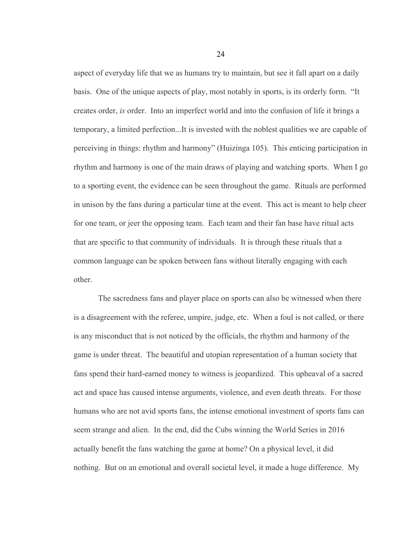aspect of everyday life that we as humans try to maintain, but see it fall apart on a daily basis. One of the unique aspects of play, most notably in sports, is its orderly form. "It creates order, *is* order. Into an imperfect world and into the confusion of life it brings a temporary, a limited perfection...It is invested with the noblest qualities we are capable of perceiving in things: rhythm and harmony" (Huizinga 105). This enticing participation in rhythm and harmony is one of the main draws of playing and watching sports. When I go to a sporting event, the evidence can be seen throughout the game. Rituals are performed in unison by the fans during a particular time at the event. This act is meant to help cheer for one team, or jeer the opposing team. Each team and their fan base have ritual acts that are specific to that community of individuals. It is through these rituals that a common language can be spoken between fans without literally engaging with each other.

The sacredness fans and player place on sports can also be witnessed when there is a disagreement with the referee, umpire, judge, etc. When a foul is not called, or there is any misconduct that is not noticed by the officials, the rhythm and harmony of the game is under threat. The beautiful and utopian representation of a human society that fans spend their hard-earned money to witness is jeopardized. This upheaval of a sacred act and space has caused intense arguments, violence, and even death threats. For those humans who are not avid sports fans, the intense emotional investment of sports fans can seem strange and alien. In the end, did the Cubs winning the World Series in 2016 actually benefit the fans watching the game at home? On a physical level, it did nothing. But on an emotional and overall societal level, it made a huge difference. My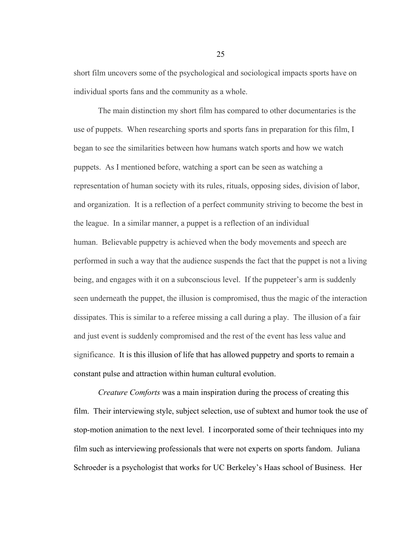short film uncovers some of the psychological and sociological impacts sports have on individual sports fans and the community as a whole.

The main distinction my short film has compared to other documentaries is the use of puppets. When researching sports and sports fans in preparation for this film, I began to see the similarities between how humans watch sports and how we watch puppets. As I mentioned before, watching a sport can be seen as watching a representation of human society with its rules, rituals, opposing sides, division of labor, and organization. It is a reflection of a perfect community striving to become the best in the league. In a similar manner, a puppet is a reflection of an individual human. Believable puppetry is achieved when the body movements and speech are performed in such a way that the audience suspends the fact that the puppet is not a living being, and engages with it on a subconscious level. If the puppeteer's arm is suddenly seen underneath the puppet, the illusion is compromised, thus the magic of the interaction dissipates. This is similar to a referee missing a call during a play. The illusion of a fair and just event is suddenly compromised and the rest of the event has less value and significance. It is this illusion of life that has allowed puppetry and sports to remain a constant pulse and attraction within human cultural evolution.

*Creature Comforts* was a main inspiration during the process of creating this film. Their interviewing style, subject selection, use of subtext and humor took the use of stop-motion animation to the next level. I incorporated some of their techniques into my film such as interviewing professionals that were not experts on sports fandom. Juliana Schroeder is a psychologist that works for UC Berkeley's Haas school of Business. Her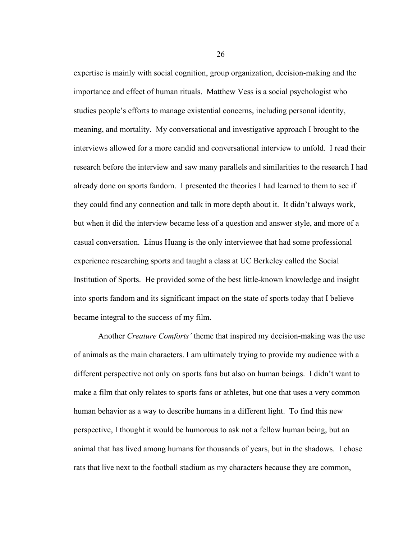expertise is mainly with social cognition, group organization, decision-making and the importance and effect of human rituals. Matthew Vess is a social psychologist who studies people's efforts to manage existential concerns, including personal identity, meaning, and mortality. My conversational and investigative approach I brought to the interviews allowed for a more candid and conversational interview to unfold. I read their research before the interview and saw many parallels and similarities to the research I had already done on sports fandom. I presented the theories I had learned to them to see if they could find any connection and talk in more depth about it. It didn't always work, but when it did the interview became less of a question and answer style, and more of a casual conversation. Linus Huang is the only interviewee that had some professional experience researching sports and taught a class at UC Berkeley called the Social Institution of Sports. He provided some of the best little-known knowledge and insight into sports fandom and its significant impact on the state of sports today that I believe became integral to the success of my film.

Another *Creature Comforts'* theme that inspired my decision-making was the use of animals as the main characters. I am ultimately trying to provide my audience with a different perspective not only on sports fans but also on human beings. I didn't want to make a film that only relates to sports fans or athletes, but one that uses a very common human behavior as a way to describe humans in a different light. To find this new perspective, I thought it would be humorous to ask not a fellow human being, but an animal that has lived among humans for thousands of years, but in the shadows. I chose rats that live next to the football stadium as my characters because they are common,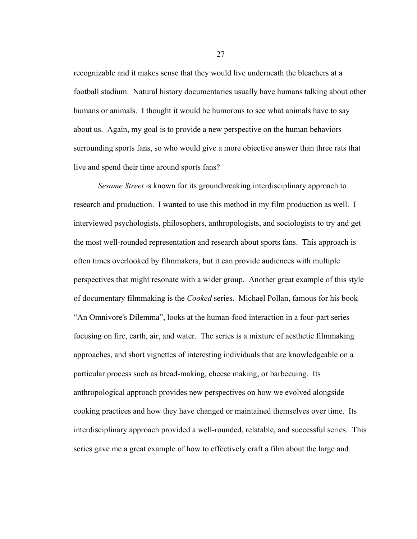recognizable and it makes sense that they would live underneath the bleachers at a football stadium. Natural history documentaries usually have humans talking about other humans or animals. I thought it would be humorous to see what animals have to say about us. Again, my goal is to provide a new perspective on the human behaviors surrounding sports fans, so who would give a more objective answer than three rats that live and spend their time around sports fans?

*Sesame Street* is known for its groundbreaking interdisciplinary approach to research and production. I wanted to use this method in my film production as well. I interviewed psychologists, philosophers, anthropologists, and sociologists to try and get the most well-rounded representation and research about sports fans. This approach is often times overlooked by filmmakers, but it can provide audiences with multiple perspectives that might resonate with a wider group. Another great example of this style of documentary filmmaking is the *Cooked* series. Michael Pollan, famous for his book "An Omnivore's Dilemma", looks at the human-food interaction in a four-part series focusing on fire, earth, air, and water. The series is a mixture of aesthetic filmmaking approaches, and short vignettes of interesting individuals that are knowledgeable on a particular process such as bread-making, cheese making, or barbecuing. Its anthropological approach provides new perspectives on how we evolved alongside cooking practices and how they have changed or maintained themselves over time. Its interdisciplinary approach provided a well-rounded, relatable, and successful series. This series gave me a great example of how to effectively craft a film about the large and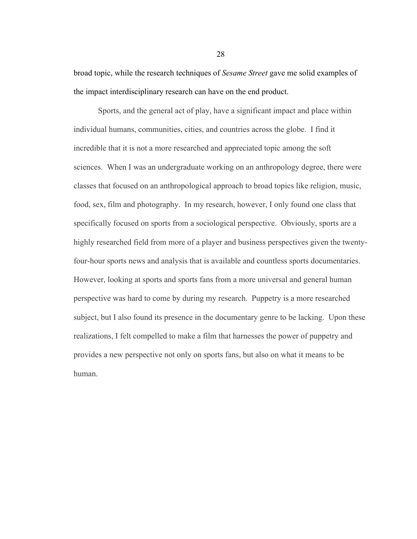broad topic, while the research techniques of *Sesame Street* gave me solid examples of the impact interdisciplinary research can have on the end product.

Sports, and the general act of play, have a significant impact and place within individual humans, communities, cities, and countries across the globe. I find it incredible that it is not a more researched and appreciated topic among the soft sciences. When I was an undergraduate working on an anthropology degree, there were classes that focused on an anthropological approach to broad topics like religion, music, food, sex, film and photography. In my research, however, I only found one class that specifically focused on sports from a sociological perspective. Obviously, sports are a highly researched field from more of a player and business perspectives given the twentyfour-hour sports news and analysis that is available and countless sports documentaries. However, looking at sports and sports fans from a more universal and general human perspective was hard to come by during my research. Puppetry is a more researched subject, but I also found its presence in the documentary genre to be lacking. Upon these realizations, I felt compelled to make a film that harnesses the power of puppetry and provides a new perspective not only on sports fans, but also on what it means to be human.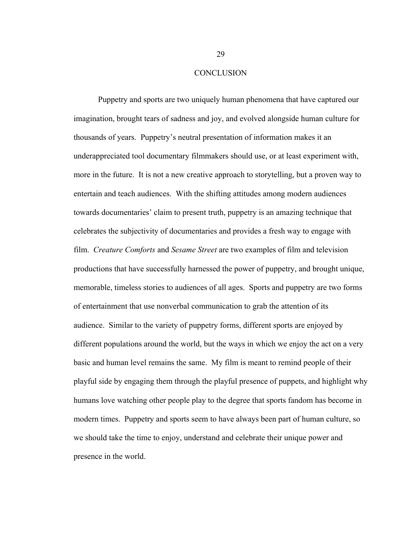#### **CONCLUSION**

Puppetry and sports are two uniquely human phenomena that have captured our imagination, brought tears of sadness and joy, and evolved alongside human culture for thousands of years. Puppetry's neutral presentation of information makes it an underappreciated tool documentary filmmakers should use, or at least experiment with, more in the future. It is not a new creative approach to storytelling, but a proven way to entertain and teach audiences. With the shifting attitudes among modern audiences towards documentaries' claim to present truth, puppetry is an amazing technique that celebrates the subjectivity of documentaries and provides a fresh way to engage with film. *Creature Comforts* and *Sesame Street* are two examples of film and television productions that have successfully harnessed the power of puppetry, and brought unique, memorable, timeless stories to audiences of all ages. Sports and puppetry are two forms of entertainment that use nonverbal communication to grab the attention of its audience. Similar to the variety of puppetry forms, different sports are enjoyed by different populations around the world, but the ways in which we enjoy the act on a very basic and human level remains the same. My film is meant to remind people of their playful side by engaging them through the playful presence of puppets, and highlight why humans love watching other people play to the degree that sports fandom has become in modern times. Puppetry and sports seem to have always been part of human culture, so we should take the time to enjoy, understand and celebrate their unique power and presence in the world.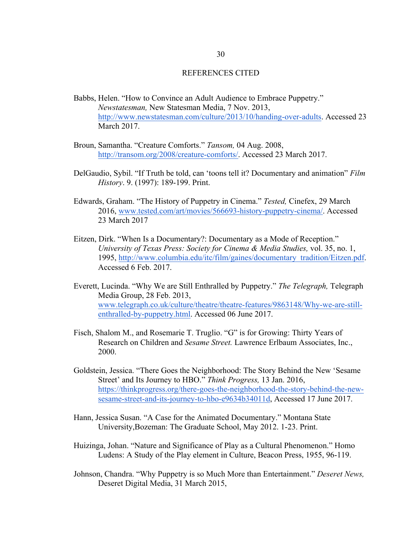#### REFERENCES CITED

- Babbs, Helen. "How to Convince an Adult Audience to Embrace Puppetry." *Newstatesman,* New Statesman Media, 7 Nov. 2013, http://www.newstatesman.com/culture/2013/10/handing-over-adults. Accessed 23 March 2017.
- Broun, Samantha. "Creature Comforts." *Tansom,* 04 Aug. 2008, http://transom.org/2008/creature-comforts/. Accessed 23 March 2017.
- DelGaudio, Sybil. "If Truth be told, can 'toons tell it? Documentary and animation" *Film History*. 9. (1997): 189-199. Print.
- Edwards, Graham. "The History of Puppetry in Cinema." *Tested,* Cinefex, 29 March 2016, www.tested.com/art/movies/566693-history-puppetry-cinema/. Accessed 23 March 2017
- Eitzen, Dirk. "When Is a Documentary?: Documentary as a Mode of Reception." *University of Texas Press: Society for Cinema & Media Studies,* vol. 35, no. 1, 1995, http://www.columbia.edu/itc/film/gaines/documentary\_tradition/Eitzen.pdf. Accessed 6 Feb. 2017.
- Everett, Lucinda. "Why We are Still Enthralled by Puppetry." *The Telegraph,* Telegraph Media Group, 28 Feb. 2013, www.telegraph.co.uk/culture/theatre/theatre-features/9863148/Why-we-are-stillenthralled-by-puppetry.html. Accessed 06 June 2017.
- Fisch, Shalom M., and Rosemarie T. Truglio. "G" is for Growing: Thirty Years of Research on Children and *Sesame Street.* Lawrence Erlbaum Associates, Inc., 2000.
- Goldstein, Jessica. "There Goes the Neighborhood: The Story Behind the New 'Sesame Street' and Its Journey to HBO." *Think Progress,* 13 Jan. 2016, https://thinkprogress.org/there-goes-the-neighborhood-the-story-behind-the-newsesame-street-and-its-journey-to-hbo-e9634b34011d, Accessed 17 June 2017.
- Hann, Jessica Susan. "A Case for the Animated Documentary." Montana State University,Bozeman: The Graduate School, May 2012. 1-23. Print.
- Huizinga, Johan. "Nature and Significance of Play as a Cultural Phenomenon." Homo Ludens: A Study of the Play element in Culture, Beacon Press, 1955, 96-119.
- Johnson, Chandra. "Why Puppetry is so Much More than Entertainment." *Deseret News,*  Deseret Digital Media, 31 March 2015,